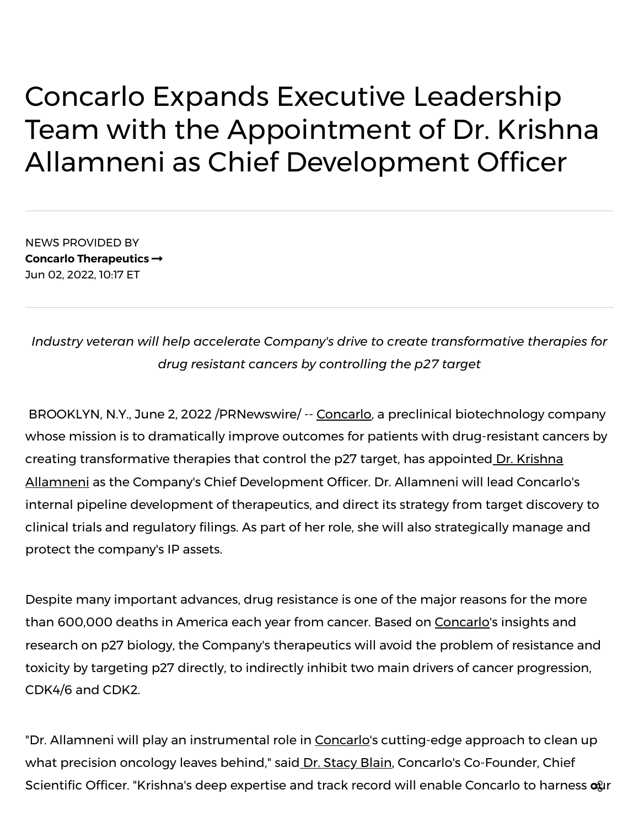## Concarlo Expands Executive Leadership Team with the Appointment of Dr. Krishna Allamneni as Chief Development Officer

NEWS PROVIDED BY **Concarlo [Therapeutics](https://www.prnewswire.com/news/concarlo-therapeutics/)** Jun 02, 2022, 10:17 ET

*Industry veteran will help accelerate Company's drive to create transformative therapies for drug resistant cancers by controlling the p27 target*

BROOKLYN, N.Y., June 2, 2022 /PRNewswire/ -- [Concarlo](https://c212.net/c/link/?t=0&l=en&o=3555597-1&h=853613075&u=https%3A%2F%2Fconcarlo.com%2F&a=Concarlo), a preclinical biotechnology company whose mission is to dramatically improve outcomes for patients with drug-resistant cancers by creating transformative therapies that control the p27 target, has appointed Dr. Krishna Allamneni as the Company's [Chief Development](https://c212.net/c/link/?t=0&l=en&o=3555597-1&h=1844043803&u=https%3A%2F%2Fwww.linkedin.com%2Fin%2Fstacy-blain-4998696b%2F&a=%C2%A0Dr.+Krishna+Allamneni) Officer. Dr. Allamneni will lead Concarlo's internal pipeline development of therapeutics, and direct its strategy from target discovery to clinical trials and regulatory filings. As part of her role, she will also strategically manage and protect the company's IP assets.

Despite many important advances, drug resistance is one of the major reasons for the more than 600,000 deaths in America each year from cancer. Based on [Concarlo](https://c212.net/c/link/?t=0&l=en&o=3555597-1&h=853613075&u=https%3A%2F%2Fconcarlo.com%2F&a=Concarlo)'s insights and research on p27 biology, the Company's therapeutics will avoid the problem of resistance and toxicity by targeting p27 directly, to indirectly inhibit two main drivers of cancer progression, CDK4/6 and CDK2.

"Dr. Allamneni will play an instrumental role in [Concarlo](https://c212.net/c/link/?t=0&l=en&o=3555597-1&h=853613075&u=https%3A%2F%2Fconcarlo.com%2F&a=Concarlo)'s cutting-edge approach to clean up what precision oncology leaves behind," said Dr. [Stacy](https://c212.net/c/link/?t=0&l=en&o=3555597-1&h=1202810654&u=https%3A%2F%2Fwww.linkedin.com%2Fin%2Fstacy-blain-4998696b%2F&a=%C2%A0Dr.+Stacy+Blain) Blain, Concarlo's Co-Founder, Chief Scientific Officer. "Krishna's deep expertise and track record will enable Concarlo to harness ogr